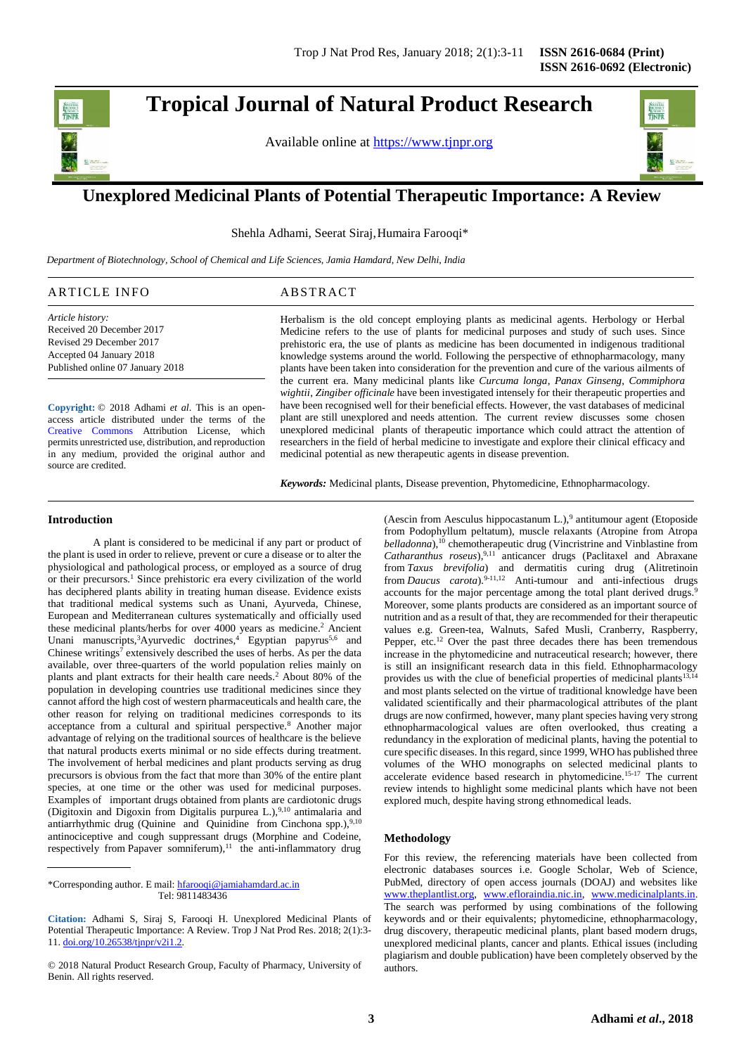

# **Tropical Journal of Natural Product Research**

Available online at [https://www.tjnpr.org](https://www.tjnpr.org/)



# . **Unexplored Medicinal Plants of Potential Therapeutic Importance: A Review**

Shehla Adhami, Seerat Siraj, Humaira Farooqi\*

 *Department of Biotechnology, School of Chemical and Life Sciences, Jamia Hamdard, New Delhi, India*

# ARTICLE INFO ABSTRACT

*Article history:* Received 20 December 2017 Revised 29 December 2017 Accepted 04 January 2018 Published online 07 January 2018

**Copyright:** © 2018 Adhami *et al*. This is an openaccess article distributed under the terms of the [Creative Commons](https://creativecommons.org/licenses/by/4.0/) Attribution License, which permits unrestricted use, distribution, and reproduction in any medium, provided the original author and source are credited.

#### Herbalism is the old concept employing plants as medicinal agents. Herbology or Herbal Medicine refers to the use of plants for medicinal purposes and study of such uses. Since prehistoric era, the use of plants as medicine has been documented in indigenous traditional knowledge systems around the world. Following the perspective of ethnopharmacology, many plants have been taken into consideration for the prevention and cure of the various ailments of the current era. Many medicinal plants like *Curcuma longa*, *Panax Ginseng*, *Commiphora wightii*, *Zingiber officinale* have been investigated intensely for their therapeutic properties and have been recognised well for their beneficial effects. However, the vast databases of medicinal plant are still unexplored and needs attention. The current review discusses some chosen unexplored medicinal plants of therapeutic importance which could attract the attention of researchers in the field of herbal medicine to investigate and explore their clinical efficacy and medicinal potential as new therapeutic agents in disease prevention.

*Keywords:* Medicinal plants, Disease prevention, Phytomedicine, Ethnopharmacology.

#### **Introduction**

A plant is considered to be medicinal if any part or product of the plant is used in order to relieve, prevent or cure a disease or to alter the physiological and pathological process, or employed as a source of drug or their precursors.<sup>1</sup> Since prehistoric era every civilization of the world has deciphered plants ability in treating human disease. Evidence exists that traditional medical systems such as Unani, Ayurveda, Chinese, European and Mediterranean cultures systematically and officially used these medicinal plants/herbs for over 4000 years as medicine.<sup>2</sup> Ancient Unani manuscripts,<sup>3</sup>Ayurvedic doctrines,<sup>4</sup> Egyptian papyrus<sup>5,6</sup> and Chinese writings<sup>7</sup> extensively described the uses of herbs. As per the data available, over three-quarters of the world population relies mainly on plants and plant extracts for their health care needs.<sup>2</sup> About 80% of the population in developing countries use traditional medicines since they cannot afford the high cost of western pharmaceuticals and health care, the other reason for relying on traditional medicines corresponds to its acceptance from a cultural and spiritual perspective.<sup>8</sup> Another major advantage of relying on the traditional sources of healthcare is the believe that natural products exerts minimal or no side effects during treatment. The involvement of herbal medicines and plant products serving as drug precursors is obvious from the fact that more than 30% of the entire plant species, at one time or the other was used for medicinal purposes. Examples of important drugs obtained from plants are cardiotonic drugs (Digitoxin and Digoxin from Digitalis purpurea L.), $9,10$  antimalaria and antiarrhythmic drug (Quinine and Quinidine from Cinchona spp.), 9,10 antinociceptive and cough suppressant drugs (Morphine and Codeine, respectively from Papaver somniferum),<sup>11</sup> the anti-inflammatory drug

\*Corresponding author. E mail[: hfarooqi@jamiahamdard.ac.in](mailto:hfarooqi@jamiahamdard.ac.in) Tel: 9811483436

**Citation:** Adhami S, Siraj S, Farooqi H. Unexplored Medicinal Plants of Potential Therapeutic Importance: A Review. Trop J Nat Prod Res. 2018; 2(1):3- 11. [doi.org/10.26538/tjnpr/v2i1.2](http://www.doi.org/10.26538/tjnpr/v1i4.5).

(Aescin from Aesculus hippocastanum L.),<sup>9</sup> antitumour agent (Etoposide from Podophyllum peltatum), muscle relaxants (Atropine from Atropa *belladonna*),<sup>10</sup> chemotherapeutic drug (Vincristrine and Vinblastine from *Catharanthus roseus*),9,11 anticancer drugs (Paclitaxel and Abraxane from *Taxus brevifolia*) and dermatitis curing drug (Alitretinoin from *Daucus carota*).9-11,12 Anti-tumour and anti-infectious drugs accounts for the major percentage among the total plant derived drugs.<sup>9</sup> Moreover, some plants products are considered as an important source of nutrition and as a result of that, they are recommended for their therapeutic values e.g. Green-tea, Walnuts, Safed Musli, Cranberry, Raspberry, Pepper, etc.<sup>12</sup> Over the past three decades there has been tremendous increase in the phytomedicine and nutraceutical research; however, there is still an insignificant research data in this field. Ethnopharmacology provides us with the clue of beneficial properties of medicinal plants<sup>13,14</sup> and most plants selected on the virtue of traditional knowledge have been validated scientifically and their pharmacological attributes of the plant drugs are now confirmed, however, many plant species having very strong ethnopharmacological values are often overlooked, thus creating a redundancy in the exploration of medicinal plants, having the potential to cure specific diseases. In this regard, since 1999, WHO has published three volumes of the WHO monographs on selected medicinal plants to accelerate evidence based research in phytomedicine.15-17 The current review intends to highlight some medicinal plants which have not been explored much, despite having strong ethnomedical leads.

# **Methodology**

For this review, the referencing materials have been collected from electronic databases sources i.e. Google Scholar, Web of Science, PubMed, directory of open access journals (DOAJ) and websites like [www.theplantlist.org,](http://www.theplantlist.org/) [www.efloraindia.nic.in,](http://www.efloraindia.nic.in/) [www.medicinalplants.in.](http://www.medicinalplants.in/) The search was performed by using combinations of the following keywords and or their equivalents; phytomedicine, ethnopharmacology, drug discovery, therapeutic medicinal plants, plant based modern drugs, unexplored medicinal plants, cancer and plants. Ethical issues (including plagiarism and double publication) have been completely observed by the authors.

<sup>© 2018</sup> Natural Product Research Group, Faculty of Pharmacy, University of Benin. All rights reserved.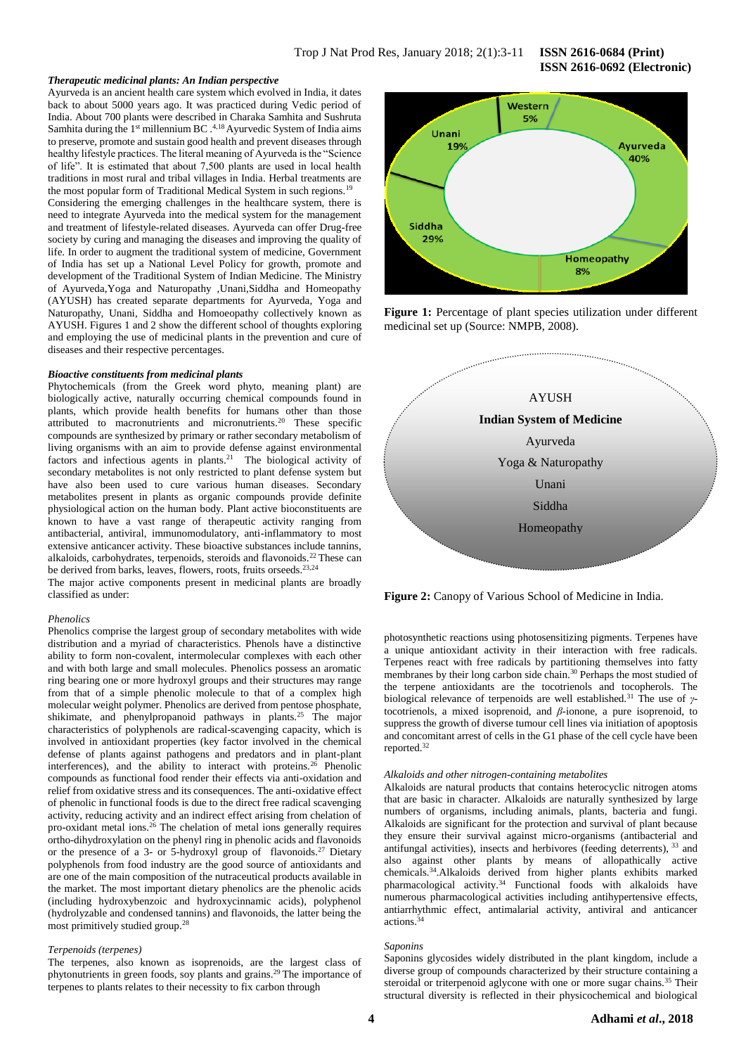#### *Therapeutic medicinal plants: An Indian perspective*

Ayurveda is an ancient health care system which evolved in India, it dates back to about 5000 years ago. It was practiced during Vedic period of India. About 700 plants were described in Charaka Samhita and Sushruta Samhita during the 1<sup>st</sup> millennium BC.<sup>4,18</sup> Ayurvedic System of India aims to preserve, promote and sustain good health and prevent diseases through healthy lifestyle practices. The literal meaning of Ayurveda is the "Science of life". It is estimated that about 7,500 plants are used in local health traditions in most rural and tribal villages in India. Herbal treatments are the most popular form of Traditional Medical System in such regions.<sup>19</sup> Considering the emerging challenges in the healthcare system, there is need to integrate Ayurveda into the medical system for the management and treatment of lifestyle-related diseases. Ayurveda can offer Drug-free society by curing and managing the diseases and improving the quality of life. In order to augment the traditional system of medicine, Government of India has set up a National Level Policy for growth, promote and development of the Traditional System of Indian Medicine. The Ministry of Ayurveda,Yoga and Naturopathy ,Unani,Siddha and Homeopathy (AYUSH) has created separate departments for Ayurveda, Yoga and Naturopathy, Unani, Siddha and Homoeopathy collectively known as AYUSH. Figures 1 and 2 show the different school of thoughts exploring and employing the use of medicinal plants in the prevention and cure of diseases and their respective percentages.

#### *Bioactive constituents from medicinal plants*

Phytochemicals (from the Greek word phyto, meaning plant) are biologically active, naturally occurring chemical compounds found in plants, which provide health benefits for humans other than those attributed to macronutrients and micronutrients.<sup>20</sup> These specific compounds are synthesized by primary or rather secondary metabolism of living organisms with an aim to provide defense against environmental factors and infectious agents in plants.<sup>21</sup> The biological activity of secondary metabolites is not only restricted to plant defense system but have also been used to cure various human diseases. Secondary metabolites present in plants as organic compounds provide definite physiological action on the human body. Plant active bioconstituents are known to have a vast range of therapeutic activity ranging from antibacterial, antiviral, immunomodulatory, anti-inflammatory to most extensive anticancer activity. These bioactive substances include tannins, alkaloids, carbohydrates, terpenoids, steroids and flavonoids.<sup>22</sup> These can be derived from barks, leaves, flowers, roots, fruits orseeds.<sup>23,24</sup>

The major active components present in medicinal plants are broadly classified as under:

#### *Phenolics*

Phenolics comprise the largest group of secondary metabolites with wide distribution and a myriad of characteristics. Phenols have a distinctive ability to form non-covalent, intermolecular complexes with each other and with both large and small molecules. Phenolics possess an aromatic ring bearing one or more hydroxyl groups and their structures may range from that of a simple phenolic molecule to that of a complex high molecular weight polymer. Phenolics are derived from pentose phosphate, shikimate, and phenylpropanoid pathways in plants.<sup>25</sup> The major characteristics of polyphenols are radical-scavenging capacity, which is involved in antioxidant properties (key factor involved in the chemical defense of plants against pathogens and predators and in plant-plant interferences), and the ability to interact with proteins.<sup>26</sup> Phenolic compounds as functional food render their effects via anti-oxidation and relief from oxidative stress and its consequences. The anti-oxidative effect of phenolic in functional foods is due to the direct free radical scavenging activity, reducing activity and an indirect effect arising from chelation of pro-oxidant metal ions.<sup>26</sup> The chelation of metal ions generally requires ortho-dihydroxylation on the phenyl ring in phenolic acids and flavonoids or the presence of a 3- or 5-hydroxyl group of flavonoids.<sup>27</sup> Dietary polyphenols from food industry are the good source of antioxidants and are one of the main composition of the nutraceutical products available in the market. The most important dietary phenolics are the phenolic acids (including hydroxybenzoic and hydroxycinnamic acids), polyphenol (hydrolyzable and condensed tannins) and flavonoids, the latter being the most primitively studied group.<sup>28</sup>

# *Terpenoids (terpenes)*

The terpenes, also known as isoprenoids, are the largest class of phytonutrients in green foods, soy plants and grains.<sup>29</sup> The importance of terpenes to plants relates to their necessity to fix carbon through



**Figure 1:** Percentage of plant species utilization under different medicinal set up (Source: NMPB, 2008).



**Figure 2:** Canopy of Various School of Medicine in India.

photosynthetic reactions using photosensitizing pigments. Terpenes have a unique antioxidant activity in their interaction with free radicals. Terpenes react with free radicals by partitioning themselves into fatty membranes by their long carbon side chain.<sup>30</sup> Perhaps the most studied of the terpene antioxidants are the tocotrienols and tocopherols. The biological relevance of terpenoids are well established.<sup>31</sup> The use of *γ*tocotrienols, a mixed isoprenoid, and *β*-ionone, a pure isoprenoid, to suppress the growth of diverse tumour cell lines via initiation of apoptosis and concomitant arrest of cells in the G1 phase of the cell cycle have been reported.<sup>32</sup>

#### *Alkaloids and other nitrogen-containing metabolites*

Alkaloids are natural products that contains heterocyclic nitrogen atoms that are basic in character. Alkaloids are naturally synthesized by large numbers of organisms, including animals, plants, bacteria and fungi. Alkaloids are significant for the protection and survival of plant because they ensure their survival against micro-organisms (antibacterial and antifungal activities), insects and herbivores (feeding deterrents), <sup>33</sup> and also against other plants by means of allopathically active chemicals.<sup>34</sup>.Alkaloids derived from higher plants exhibits marked pharmacological activity.<sup>34</sup> Functional foods with alkaloids have numerous pharmacological activities including antihypertensive effects, antiarrhythmic effect, antimalarial activity, antiviral and anticancer actions.<sup>34</sup>

#### *Saponins*

Saponins glycosides widely distributed in the plant kingdom, include a diverse group of compounds characterized by their structure containing a steroidal or triterpenoid aglycone with one or more sugar chains.<sup>35</sup> Their structural diversity is reflected in their physicochemical and biological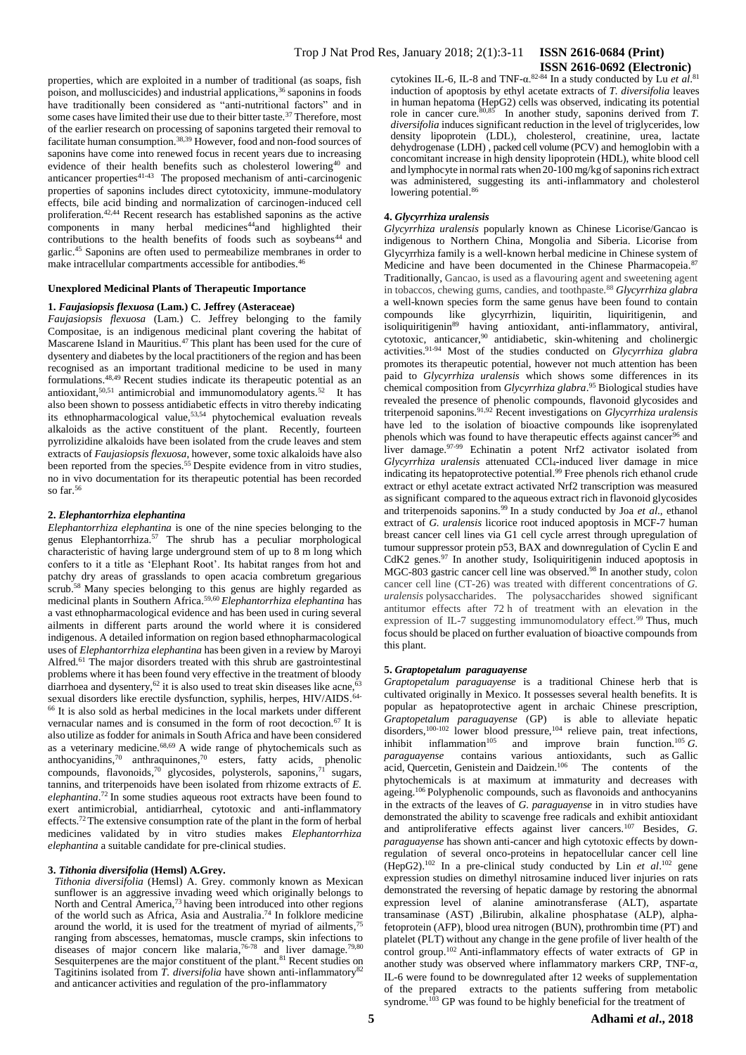properties, which are exploited in a number of traditional (as soaps, fish poison, and molluscicides) and industrial applications,<sup>36</sup> saponins in foods have traditionally been considered as "anti-nutritional factors" and in some cases have limited their use due to their bitter taste.<sup>37</sup> Therefore, most of the earlier research on processing of saponins targeted their removal to facilitate human consumption. 38,39 However, food and non-food sources of saponins have come into renewed focus in recent years due to increasing evidence of their health benefits such as cholesterol lowering<sup>40</sup> and anticancer properties<sup>41-43</sup> The proposed mechanism of anti-carcinogenic properties of saponins includes direct cytotoxicity, immune-modulatory effects, bile acid binding and normalization of carcinogen-induced cell proliferation.42,44 Recent research has established saponins as the active components in many herbal medicines<sup>44</sup>and highlighted their contributions to the health benefits of foods such as soybeans<sup>44</sup> and garlic.<sup>45</sup> Saponins are often used to permeabilize membranes in order to make intracellular compartments accessible for antibodies.<sup>46</sup>

# **Unexplored Medicinal Plants of Therapeutic Importance**

## **1.** *Faujasiopsis flexuosa* **(Lam.) C. Jeffrey (Asteraceae)**

*Faujasiopsis flexuosa* (Lam.) C. Jeffrey belonging to the family Compositae, is an indigenous medicinal plant covering the habitat of Mascarene Island in Mauritius.<sup>47</sup> This plant has been used for the cure of dysentery and diabetes by the local practitioners of the region and has been recognised as an important traditional medicine to be used in many formulations.48,49 Recent studies indicate its therapeutic potential as an antioxidant, $50,51$  antimicrobial and immunomodulatory agents. $52$  It has also been shown to possess antidiabetic effects in vitro thereby indicating its ethnopharmacological value,<sup>53,54</sup> phytochemical evaluation reveals alkaloids as the active constituent of the plant. Recently, fourteen pyrrolizidine alkaloids have been isolated from the crude leaves and stem extracts of *Faujasiopsis flexuosa*, however, some toxic alkaloids have also been reported from the species.<sup>55</sup> Despite evidence from in vitro studies, no in vivo documentation for its therapeutic potential has been recorded so far. $^{56}$ 

#### **2.** *Elephantorrhiza elephantina*

*Elephantorrhiza elephantina* is one of the nine species belonging to the genus Elephantorrhiza.<sup>57</sup> The shrub has a peculiar morphological characteristic of having large underground stem of up to 8 m long which confers to it a title as 'Elephant Root'. Its habitat ranges from hot and patchy dry areas of grasslands to open acacia combretum gregarious scrub.<sup>58</sup> Many species belonging to this genus are highly regarded as medicinal plants in Southern Africa. 59,60 *Elephantorrhiza elephantina* has a vast ethnopharmacological evidence and has been used in curing several ailments in different parts around the world where it is considered indigenous. A detailed information on region based ethnopharmacological uses of *Elephantorrhiza elephantina* has been given in a review by Maroyi Alfred.<sup>61</sup> The major disorders treated with this shrub are gastrointestinal problems where it has been found very effective in the treatment of bloody diarrhoea and dysentery,<sup>62</sup> it is also used to treat skin diseases like acne,<sup>63</sup> sexual disorders like erectile dysfunction, syphilis, herpes, HIV/AIDS.<sup>64-</sup> <sup>66</sup> It is also sold as herbal medicines in the local markets under different vernacular names and is consumed in the form of root decoction.<sup>67</sup> It is also utilize as fodder for animals in South Africa and have been considered as a veterinary medicine. $68,69$  A wide range of phytochemicals such as anthocyanidins, <sup>70</sup> anthraquinones, <sup>70</sup> esters, fatty acids, phenolic compounds, flavonoids, <sup>70</sup> glycosides, polysterols, saponins, <sup>71</sup> sugars, tannins, and triterpenoids have been isolated from rhizome extracts of *E. elephantina*. <sup>72</sup> In some studies aqueous root extracts have been found to exert antimicrobial, antidiarrheal, cytotoxic and anti-inflammatory effects.<sup>72</sup>The extensive consumption rate of the plant in the form of herbal medicines validated by in vitro studies makes *Elephantorrhiza elephantina* a suitable candidate for pre-clinical studies.

#### **3.** *Tithonia diversifolia* **(Hemsl) A.Grey.**

*Tithonia diversifolia* (Hemsl) A. Grey. commonly known as Mexican sunflower is an aggressive invading weed which originally belongs to North and Central America,<sup>73</sup> having been introduced into other regions of the world such as Africa, Asia and Australia. <sup>74</sup> In folklore medicine around the world, it is used for the treatment of myriad of ailments,<sup>75</sup> ranging from abscesses, hematomas, muscle cramps, skin infections to diseases of major concern like malaria,  $76-78$  and liver damage.  $79,80$ Sesquiterpenes are the major constituent of the plant.<sup>81</sup> Recent studies on Tagitinins isolated from *T. diversifolia* have shown anti-inflammatory<sup>82</sup> and anticancer activities and regulation of the pro-inflammatory

cytokines IL-6, IL-8 and TNF-α.<sup>82-84</sup> In a study conducted by Lu et al.<sup>81</sup> induction of apoptosis by ethyl acetate extracts of *T. diversifolia* leaves in human hepatoma (HepG2) cells was observed, indicating its potential role in cancer cure.<sup>80,85</sup> In another study, saponins derived from *T*. *diversifolia* induces significant reduction in the level of triglycerides, low density lipoprotein (LDL), cholesterol, creatinine, urea, lactate dehydrogenase (LDH) , packed cell volume (PCV) and hemoglobin with a concomitant increase in high density lipoprotein (HDL), white blood cell and lymphocyte in normal rats when 20-100 mg/kg of saponins rich extract was administered, suggesting its anti-inflammatory and cholesterol lowering potential.<sup>86</sup>

#### **4.** *Glycyrrhiza uralensis*

*Glycyrrhiza uralensis* popularly known as Chinese Licorise/Gancao is indigenous to Northern China, Mongolia and Siberia. Licorise from Glycyrrhiza family is a well-known herbal medicine in Chinese system of Medicine and have been documented in the Chinese Pharmacopeia.<sup>87</sup> Traditionally, Gancao, is used as a flavouring agent and sweetening agent in tobaccos, chewing gums, candies, and toothpaste.<sup>88</sup> *Glycyrrhiza glabra* a well-known species form the same genus have been found to contain compounds like glycyrrhizin, liquiritin, liquiritigenin, and isoliquiritigenin<sup>89</sup> having antioxidant, anti-inflammatory, antiviral, cytotoxic, anticancer, <sup>90</sup> antidiabetic, skin-whitening and cholinergic activities.91-94 Most of the studies conducted on *Glycyrrhiza glabra* promotes its therapeutic potential, however not much attention has been paid to *Glycyrrhiza uralensis* which shows some differences in its chemical composition from *Glycyrrhiza glabra*. <sup>95</sup> Biological studies have revealed the presence of phenolic compounds, flavonoid glycosides and triterpenoid saponins.91,92 Recent investigations on *Glycyrrhiza uralensis* have led to the isolation of bioactive compounds like isoprenylated phenols which was found to have therapeutic effects against cancer<sup>96</sup> and liver damage.<sup>97-99</sup> Echinatin a potent Nrf2 activator isolated from *Glycyrrhiza uralensis* attenuated CCl4-induced liver damage in mice indicating its hepatoprotective potential.<sup>99</sup> Free phenols rich ethanol crude extract or ethyl acetate extract activated Nrf2 transcription was measured as significant compared to the aqueous extract rich in flavonoid glycosides and triterpenoids saponins.<sup>99</sup> In a study conducted by Joa *et al*., ethanol extract of *G. uralensis* licorice root induced apoptosis in MCF-7 human breast cancer cell lines via G1 cell cycle arrest through upregulation of tumour suppressor protein p53, BAX and downregulation of Cyclin E and CdK2 genes.<sup>97</sup> In another study, Isoliquiritigenin induced apoptosis in MGC-803 gastric cancer cell line was observed.<sup>98</sup> In another study, colon cancer cell line (CT-26) was treated with different concentrations of *G. uralensis* polysaccharides. The polysaccharides showed significant antitumor effects after 72 h of treatment with an elevation in the expression of IL-7 suggesting immunomodulatory effect.<sup>99</sup> Thus, much focus should be placed on further evaluation of bioactive compounds from this plant.

# **5.** *Graptopetalum paraguayense*

*Graptopetalum paraguayense* is a traditional Chinese herb that is cultivated originally in Mexico. It possesses several health benefits. It is popular as hepatoprotective agent in archaic Chinese prescription, *Graptopetalum paraguayense* (GP) is able to alleviate hepatic disorders,<sup>100-102</sup> lower blood pressure,<sup>104</sup> relieve pain, treat infections, inhibit inflammation<sup>105</sup> and improve brain function.<sup>105</sup> *G*. *paraguayense* contains various antioxidants, such as Gallic acid, Quercetin, Genistein and Daidzein.<sup>106</sup> The contents of the acid, Quercetin, Genistein and Daidzein.<sup>106</sup> The contents of the phytochemicals is at maximum at immaturity and decreases with ageing.<sup>106</sup> Polyphenolic compounds, such as flavonoids and anthocyanins in the extracts of the leaves of *G. paraguayense* in in vitro studies have demonstrated the ability to scavenge free radicals and exhibit antioxidant and antiproliferative effects against liver cancers.<sup>107</sup> Besides, *G. paraguayense* has shown anti-cancer and high cytotoxic effects by downregulation of several onco-proteins in hepatocellular cancer cell line (HepG2). <sup>102</sup> In a pre-clinical study conducted by Lin *et al*. <sup>102</sup> gene expression studies on dimethyl nitrosamine induced liver injuries on rats demonstrated the reversing of hepatic damage by restoring the abnormal expression level of alanine aminotransferase (ALT), aspartate transaminase (AST) ,Bilirubin, alkaline phosphatase (ALP), alphafetoprotein (AFP), blood urea nitrogen (BUN), prothrombin time (PT) and platelet (PLT) without any change in the gene profile of liver health of the control group.<sup>102</sup> Anti-inflammatory effects of water extracts of GP in another study was observed where inflammatory markers CRP, TNF-α, IL-6 were found to be downregulated after 12 weeks of supplementation of the prepared extracts to the patients suffering from metabolic syndrome.<sup>103</sup> GP was found to be highly beneficial for the treatment of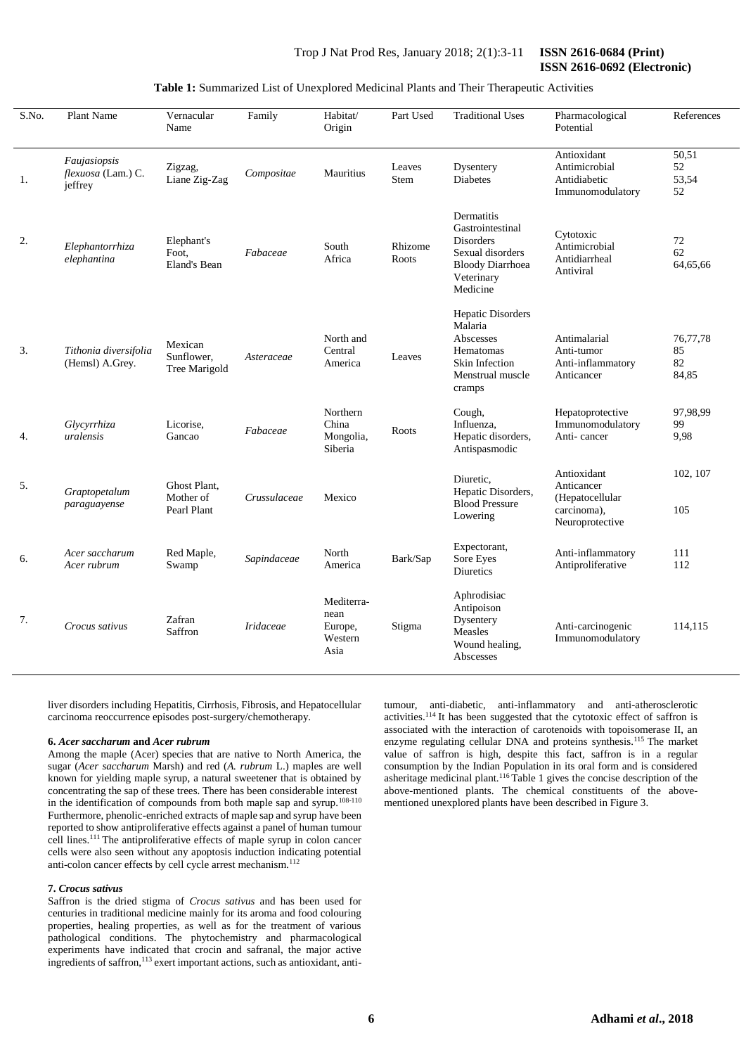# **Table 1:** Summarized List of Unexplored Medicinal Plants and Their Therapeutic Activities

| S.No. | Plant Name                                    | Vernacular<br>Name                       | Family           | Habitat/<br>Origin                               | Part Used        | <b>Traditional Uses</b>                                                                                                     | Pharmacological<br>Potential                                                   | References                    |
|-------|-----------------------------------------------|------------------------------------------|------------------|--------------------------------------------------|------------------|-----------------------------------------------------------------------------------------------------------------------------|--------------------------------------------------------------------------------|-------------------------------|
| 1.    | Faujasiopsis<br>flexuosa (Lam.) C.<br>jeffrey | Zigzag,<br>Liane Zig-Zag                 | Compositae       | Mauritius                                        | Leaves<br>Stem   | Dysentery<br><b>Diabetes</b>                                                                                                | Antioxidant<br>Antimicrobial<br>Antidiabetic<br>Immunomodulatory               | 50,51<br>52<br>53,54<br>52    |
| 2.    | Elephantorrhiza<br>elephantina                | Elephant's<br>Foot,<br>Eland's Bean      | Fabaceae         | South<br>Africa                                  | Rhizome<br>Roots | Dermatitis<br>Gastrointestinal<br><b>Disorders</b><br>Sexual disorders<br><b>Bloody Diarrhoea</b><br>Veterinary<br>Medicine | Cytotoxic<br>Antimicrobial<br>Antidiarrheal<br>Antiviral                       | 72<br>62<br>64,65,66          |
| 3.    | Tithonia diversifolia<br>(Hemsl) A.Grey.      | Mexican<br>Sunflower,<br>Tree Marigold   | Asteraceae       | North and<br>Central<br>America                  | Leaves           | Hepatic Disorders<br>Malaria<br>Abscesses<br>Hematomas<br>Skin Infection<br>Menstrual muscle<br>cramps                      | Antimalarial<br>Anti-tumor<br>Anti-inflammatory<br>Anticancer                  | 76,77,78<br>85<br>82<br>84,85 |
| 4.    | Glycyrrhiza<br>uralensis                      | Licorise,<br>Gancao                      | Fabaceae         | Northern<br>China<br>Mongolia,<br>Siberia        | Roots            | Cough,<br>Influenza,<br>Hepatic disorders,<br>Antispasmodic                                                                 | Hepatoprotective<br>Immunomodulatory<br>Anti-cancer                            | 97,98,99<br>99<br>9,98        |
| 5.    | Graptopetalum<br>paraguayense                 | Ghost Plant,<br>Mother of<br>Pearl Plant | Crussulaceae     | Mexico                                           |                  | Diuretic,<br>Hepatic Disorders,<br><b>Blood Pressure</b><br>Lowering                                                        | Antioxidant<br>Anticancer<br>(Hepatocellular<br>carcinoma),<br>Neuroprotective | 102, 107<br>105               |
| 6.    | Acer saccharum<br>Acer rubrum                 | Red Maple,<br>Swamp                      | Sapindaceae      | North<br>America                                 | Bark/Sap         | Expectorant,<br>Sore Eyes<br>Diuretics                                                                                      | Anti-inflammatory<br>Antiproliferative                                         | 111<br>112                    |
| 7.    | Crocus sativus                                | Zafran<br>Saffron                        | <i>Iridaceae</i> | Mediterra-<br>nean<br>Europe,<br>Western<br>Asia | Stigma           | Aphrodisiac<br>Antipoison<br>Dysentery<br>Measles<br>Wound healing,<br>Abscesses                                            | Anti-carcinogenic<br>Immunomodulatory                                          | 114,115                       |

liver disorders including Hepatitis, Cirrhosis, Fibrosis, and Hepatocellular carcinoma reoccurrence episodes post-surgery/chemotherapy.

#### **6.** *Acer saccharum* **and** *Acer rubrum*

Among the maple (Acer) species that are native to North America, the sugar (*Acer saccharum* Marsh) and red (*A. rubrum* L.) maples are well known for yielding maple syrup, a natural sweetener that is obtained by concentrating the sap of these trees. There has been considerable interest in the identification of compounds from both maple sap and syrup.<sup>108-110</sup> Furthermore, phenolic-enriched extracts of maple sap and syrup have been reported to show antiproliferative effects against a panel of human tumour cell lines.<sup>111</sup> The antiproliferative effects of maple syrup in colon cancer cells were also seen without any apoptosis induction indicating potential anti-colon cancer effects by cell cycle arrest mechanism.<sup>112</sup>

#### **7.** *Crocus sativus*

Saffron is the dried stigma of *Crocus sativus* and has been used for centuries in traditional medicine mainly for its aroma and food colouring properties, healing properties, as well as for the treatment of various pathological conditions. The phytochemistry and pharmacological experiments have indicated that crocin and safranal, the major active ingredients of saffron,<sup>113</sup> exert important actions, such as antioxidant, antitumour, anti-diabetic, anti-inflammatory and anti-atherosclerotic activities.<sup>114</sup>It has been suggested that the cytotoxic effect of saffron is associated with the interaction of carotenoids with topoisomerase II, an enzyme regulating cellular DNA and proteins synthesis.<sup>115</sup> The market value of saffron is high, despite this fact, saffron is in a regular consumption by the Indian Population in its oral form and is considered asheritage medicinal plant.<sup>116</sup> Table 1 gives the concise description of the above-mentioned plants. The chemical constituents of the abovementioned unexplored plants have been described in Figure 3.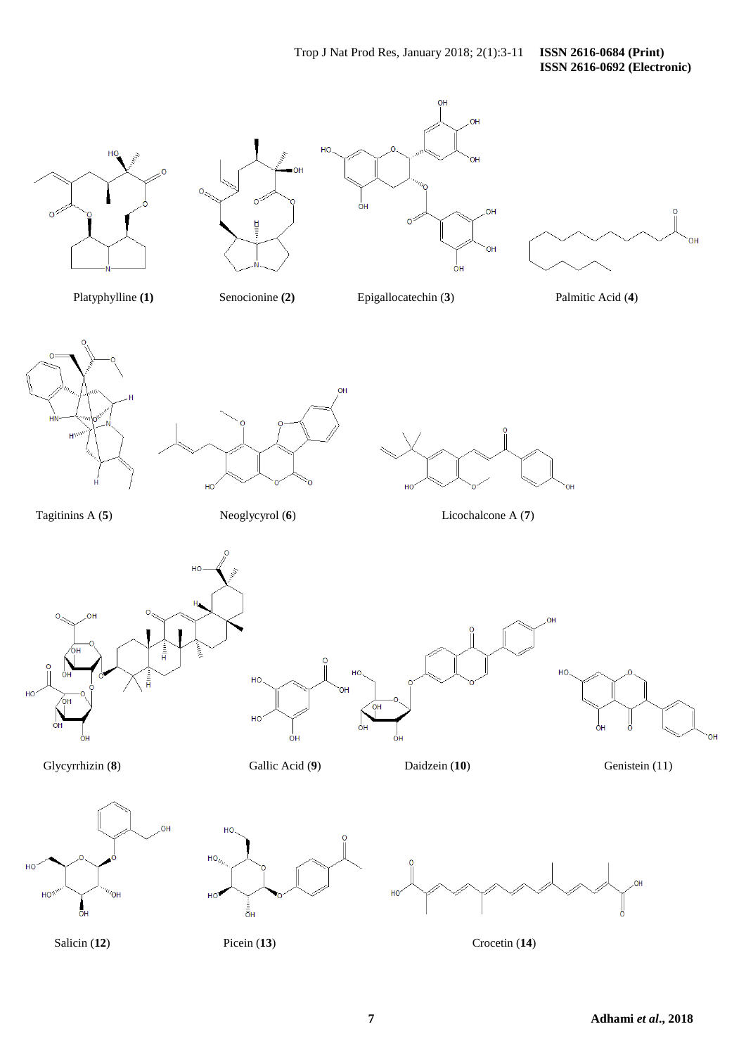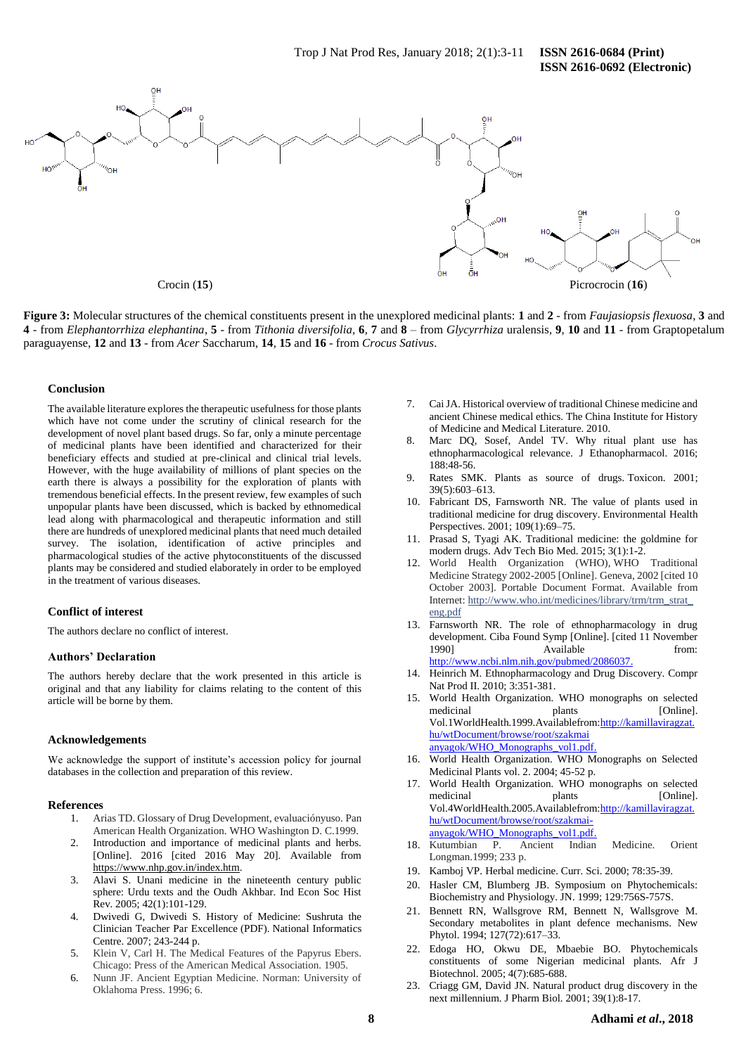

**Figure 3:** Molecular structures of the chemical constituents present in the unexplored medicinal plants: **1** and **2** - from *Faujasiopsis flexuosa*, **3** and 4 - from Elephantorrhiza elephantina, 5 - from Tithonia diversifolia, 6, 7 and 8 - from Glycyrrhiza uralensis, 9, 10 and 11 - from Graptopetalum paraguayense, **12** and **13** - from *Acer* Saccharum, **14**, **15** and **16** - from *Crocus Sativus*.

## **Conclusion**

The available literature explores the therapeutic usefulness for those plants which have not come under the scrutiny of clinical research for the development of novel plant based drugs. So far, only a minute percentage of medicinal plants have been identified and characterized for their beneficiary effects and studied at pre-clinical and clinical trial levels. However, with the huge availability of millions of plant species on the earth there is always a possibility for the exploration of plants with tremendous beneficial effects. In the present review, few examples of such unpopular plants have been discussed, which is backed by ethnomedical lead along with pharmacological and therapeutic information and still there are hundreds of unexplored medicinal plants that need much detailed survey. The isolation, identification of active principles and pharmacological studies of the active phytoconstituents of the discussed plants may be considered and studied elaborately in order to be employed in the treatment of various diseases.

# **Conflict of interest**

The authors declare no conflict of interest.

#### **Authors' Declaration**

The authors hereby declare that the work presented in this article is original and that any liability for claims relating to the content of this article will be borne by them.

#### **Acknowledgements**

We acknowledge the support of institute's accession policy for journal databases in the collection and preparation of this review.

## **References**

- 1. Arias TD. Glossary of Drug Development, evaluaciónyuso. Pan American Health Organization. WHO Washington D. C.1999.
- 2. Introduction and importance of medicinal plants and herbs. [Online]. 2016 [cited 2016 May 20]. Available from [https://www.nhp.gov.in/index.htm.](https://www.nhp.gov.in/index.htm)
- 3. Alavi S. Unani medicine in the nineteenth century public sphere: Urdu texts and the Oudh Akhbar. Ind Econ Soc Hist Rev. 2005; 42(1):101-129.
- 4. Dwivedi G, Dwivedi S. History of Medicine: Sushruta the Clinician Teacher Par Excellence (PDF). National Informatics Centre. 2007; 243-244 p.
- 5. Klein V, Carl H. The Medical Features of the Papyrus Ebers. Chicago: Press of the American Medical Association. 1905.
- 6. Nunn JF. Ancient Egyptian Medicine. Norman: University of Oklahoma Press. 1996; 6.
- 7. Cai JA. Historical overview of traditional Chinese medicine and ancient Chinese medical ethics. The China Institute for History of Medicine and Medical Literature. 2010.
- 8. Marc DQ, Sosef, Andel TV. Why ritual plant use has ethnopharmacological relevance. J Ethanopharmacol. 2016; 188:48-56.
- 9. Rates SMK. Plants as source of drugs. Toxicon. 2001; 39(5):603–613.
- 10. Fabricant DS, Farnsworth NR. The value of plants used in traditional medicine for drug discovery. Environmental Health Perspectives. 2001; 109(1):69–75.
- 11. Prasad S, Tyagi AK. Traditional medicine: the goldmine for modern drugs. Adv Tech Bio Med. 2015; 3(1):1-2.
- 12. World Health Organization (WHO), WHO Traditional Medicine Strategy 2002-2005 [Online]. Geneva, 2002 [cited 10 October 2003]. Portable Document Format. Available from Internet: [http://www.who.int/medicines/library/trm/trm\\_strat\\_](http://www.who.int/medicines/library/trm/trm_strat_eng.pdf) [eng.pdf](http://www.who.int/medicines/library/trm/trm_strat_eng.pdf)
- 13. Farnsworth NR. The role of ethnopharmacology in drug development. Ciba Found Symp [Online]. [cited 11 November 1990] Available from: [http://www.ncbi.nlm.nih.gov/pubmed/2086037.](http://www.ncbi.nlm.nih.gov/pubmed/2086037)
- 14. Heinrich M. Ethnopharmacology and Drug Discovery. Compr Nat Prod II. 2010; 3:351-381.
- 15. World Health Organization. WHO monographs on selected medicinal plants [Online]. Vol.1WorldHealth.1999.Availablefrom[:http://kamillaviragzat.](http://kamillaviragzat.hu/wtDocument/browse/root/szakmai%20anyagok/WHO_Monographs_vol1.pdf) [hu/wtDocument/browse/root/szakmai](http://kamillaviragzat.hu/wtDocument/browse/root/szakmai%20anyagok/WHO_Monographs_vol1.pdf)  [anyagok/WHO\\_Monographs\\_vol1.pdf.](http://kamillaviragzat.hu/wtDocument/browse/root/szakmai%20anyagok/WHO_Monographs_vol1.pdf)
- 16. World Health Organization. WHO Monographs on Selected Medicinal Plants vol. 2. 2004; 45-52 p.
- 17. World Health Organization. WHO monographs on selected medicinal plants [Online]. Vol.4WorldHealth.2005.Availablefrom[:http://kamillaviragzat.](http://kamillaviragzat.hu/wtDocument/browse/root/szakmai-anyagok/WHO_Monographs_vol1.pdf) [hu/wtDocument/browse/root/szakmai](http://kamillaviragzat.hu/wtDocument/browse/root/szakmai-anyagok/WHO_Monographs_vol1.pdf)[anyagok/WHO\\_Monographs\\_vol1.pdf.](http://kamillaviragzat.hu/wtDocument/browse/root/szakmai-anyagok/WHO_Monographs_vol1.pdf)
- 18. Kutumbian P. Ancient Indian Medicine. Orient Longman.1999; 233 p.
- 19. Kamboj VP. Herbal medicine. Curr. Sci. 2000; 78:35-39.
- 20. Hasler CM, Blumberg JB. Symposium on Phytochemicals: Biochemistry and Physiology. JN. 1999; 129:756S-757S.
- 21. Bennett RN, Wallsgrove RM, Bennett N, Wallsgrove M. Secondary metabolites in plant defence mechanisms. New Phytol. 1994; 127(72):617–33.
- 22. Edoga HO, Okwu DE, Mbaebie BO. Phytochemicals constituents of some Nigerian medicinal plants. Afr J Biotechnol. 2005; 4(7):685-688.
- 23. Criagg GM, David JN. Natural product drug discovery in the next millennium. J Pharm Biol. 2001; 39(1):8-17.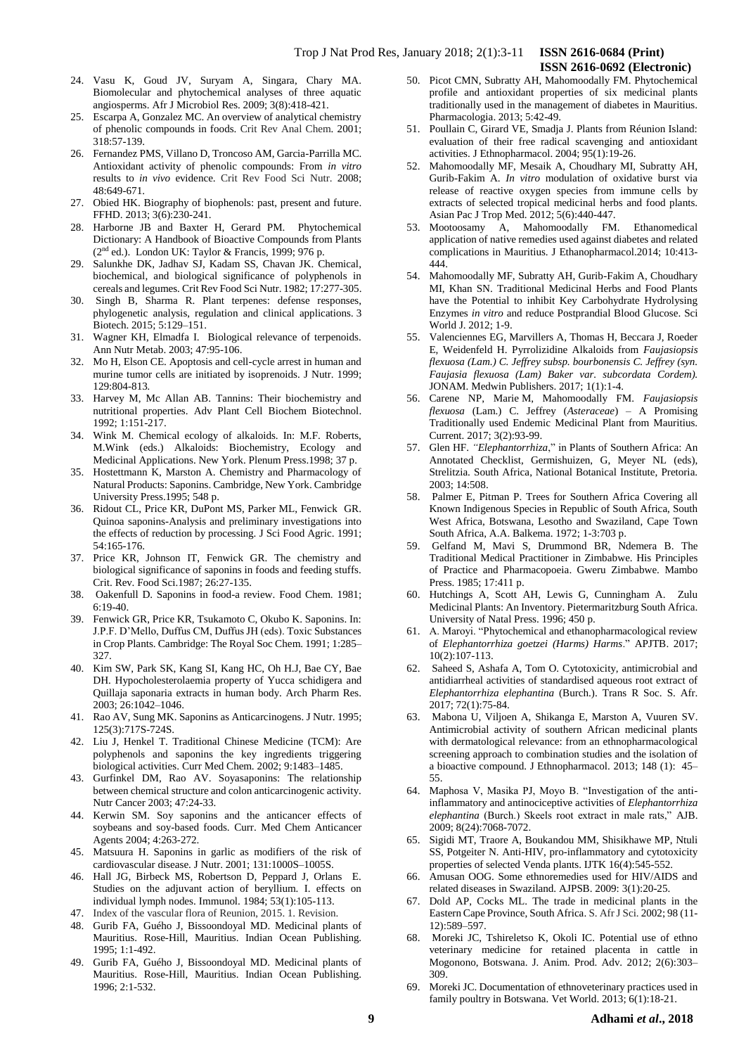- 24. Vasu K, Goud JV, Suryam A, Singara, Chary MA. Biomolecular and phytochemical analyses of three aquatic angiosperms. Afr J Microbiol Res. 2009; 3(8):418-421.
- 25. Escarpa A, Gonzalez MC. An overview of analytical chemistry of phenolic compounds in foods. Crit Rev Anal Chem. 2001; 318:57-139.
- 26. Fernandez PMS, Villano D, Troncoso AM, Garcia-Parrilla MC. Antioxidant activity of phenolic compounds: From *in vitro* results to *in vivo* evidence. Crit Rev Food Sci Nutr. 2008; 48:649-671.
- 27. Obied HK. Biography of biophenols: past, present and future. FFHD. 2013; 3(6):230-241.
- 28. Harborne JB and Baxter H, Gerard PM. Phytochemical Dictionary: A Handbook of Bioactive Compounds from Plants  $(2<sup>nd</sup>$  ed.). London UK: Taylor & Francis, 1999; 976 p.
- 29. Salunkhe DK, Jadhav SJ, Kadam SS, Chavan JK. Chemical, biochemical, and biological significance of polyphenols in cereals and legumes. Crit Rev Food Sci Nutr. 1982; 17:277-305.
- 30. Singh B, Sharma R. Plant terpenes: defense responses, phylogenetic analysis, regulation and clinical applications*.* 3 Biotech. 2015; 5:129–151.
- 31. Wagner KH, Elmadfa I. Biological relevance of terpenoids. Ann Nutr Metab. 2003; 47:95-106.
- 32. Mo H, Elson CE. Apoptosis and cell-cycle arrest in human and murine tumor cells are initiated by isoprenoids. J Nutr. 1999; 129:804-813*.*
- 33. Harvey M, Mc Allan AB. Tannins: Their biochemistry and nutritional properties. Adv Plant Cell Biochem Biotechnol. 1992; 1:151-217.
- 34. Wink M. Chemical ecology of alkaloids. In: M.F. Roberts, M.Wink (eds.) Alkaloids: Biochemistry, Ecology and Medicinal Applications. New York. Plenum Press.1998; 37 p.
- 35. Hostettmann K, Marston A. Chemistry and Pharmacology of Natural Products: Saponins. Cambridge, New York. Cambridge University Press.1995; 548 p.
- 36. Ridout CL, Price KR, DuPont MS, Parker ML, Fenwick GR. Quinoa saponins-Analysis and preliminary investigations into the effects of reduction by processing. J Sci Food Agric. 1991; 54:165-176.
- 37. Price KR, Johnson IT, Fenwick GR. The chemistry and biological significance of saponins in foods and feeding stuffs. Crit. Rev. Food Sci.1987; 26:27-135.
- 38. Oakenfull D. Saponins in food-a review. Food Chem. 1981; 6:19-40.
- 39. Fenwick GR, Price KR, Tsukamoto C, Okubo K. Saponins. In: J.P.F. D'Mello, Duffus CM, Duffus JH (eds). Toxic Substances in Crop Plants. Cambridge: The Royal Soc Chem. 1991; 1:285– 327.
- 40. Kim SW, Park SK, Kang SI, Kang HC, Oh H.J, Bae CY, Bae DH. Hypocholesterolaemia property of Yucca schidigera and Quillaja saponaria extracts in human body. Arch Pharm Res. 2003; 26:1042–1046.
- 41. Rao AV, Sung MK. Saponins as Anticarcinogens. J Nutr. 1995; 125(3):717S-724S.
- 42. Liu J, Henkel T. Traditional Chinese Medicine (TCM): Are polyphenols and saponins the key ingredients triggering biological activities. Curr Med Chem. 2002; 9:1483–1485.
- 43. Gurfinkel DM, Rao AV. Soyasaponins: The relationship between chemical structure and colon anticarcinogenic activity. Nutr Cancer 2003; 47:24-33.
- 44. Kerwin SM. Soy saponins and the anticancer effects of soybeans and soy-based foods. Curr. Med Chem Anticancer Agents 2004; 4:263-272.
- 45. Matsuura H. Saponins in garlic as modifiers of the risk of cardiovascular disease. J Nutr. 2001; 131:1000S–1005S.
- 46. Hall JG, Birbeck MS, Robertson D, Peppard J, Orlans E. Studies on the adjuvant action of beryllium. I. effects on individual lymph nodes. Immunol. 1984; 53(1):105-113.
- 47. Index of the vascular flora of Reunion, 2015. 1. Revision.
- 48. Gurib FA, Guého J, Bissoondoyal MD. Medicinal plants of Mauritius. Rose-Hill, Mauritius. Indian Ocean Publishing. 1995; 1:1-492.
- 49. Gurib FA, Guého J, Bissoondoyal MD. Medicinal plants of Mauritius. Rose-Hill, Mauritius. Indian Ocean Publishing. 1996; 2:1-532.
- 50. Picot CMN, Subratty AH, Mahomoodally FM. Phytochemical profile and antioxidant properties of six medicinal plants traditionally used in the management of diabetes in Mauritius. Pharmacologia. 2013; 5:42-49.
- 51. Poullain C, Girard VE, Smadja J. Plants from Réunion Island: evaluation of their free radical scavenging and antioxidant activities. J Ethnopharmacol. 2004; 95(1):19-26.
- 52. Mahomoodally MF, Mesaik A, Choudhary MI, Subratty AH, Gurib-Fakim A. *In vitro* modulation of oxidative burst via release of reactive oxygen species from immune cells by extracts of selected tropical medicinal herbs and food plants. Asian Pac J Trop Med. 2012; 5(6):440-447.
- 53. Mootoosamy A, Mahomoodally FM. Ethanomedical application of native remedies used against diabetes and related complications in Mauritius. J Ethanopharmacol.2014; 10:413- 444.
- 54. Mahomoodally MF, Subratty AH, Gurib-Fakim A, Choudhary MI, Khan SN. Traditional Medicinal Herbs and Food Plants have the Potential to inhibit Key Carbohydrate Hydrolysing Enzymes *in vitro* and reduce Postprandial Blood Glucose. Sci World J. 2012; 1-9.
- 55. Valenciennes EG, Marvillers A, Thomas H, Beccara J, Roeder E, Weidenfeld H. Pyrrolizidine Alkaloids from *Faujasiopsis flexuosa (Lam.) C. Jeffrey subsp. bourbonensis C. Jeffrey (syn. Faujasia flexuosa (Lam) Baker var. subcordata Cordem).* JONAM. Medwin Publishers. 2017; 1(1):1-4.
- 56. Carene NP, Marie M, Mahomoodally FM. *Faujasiopsis flexuosa* (Lam.) C. Jeffrey (*Asteraceae*) – A Promising Traditionally used Endemic Medicinal Plant from Mauritius. Current. 2017; 3(2):93-99.
- 57. Glen HF. *"Elephantorrhiza*," in Plants of Southern Africa: An Annotated Checklist, Germishuizen, G, Meyer NL (eds), Strelitzia. South Africa, National Botanical Institute, Pretoria. 2003; 14:508.
- 58. Palmer E, Pitman P. Trees for Southern Africa Covering all Known Indigenous Species in Republic of South Africa, South West Africa, Botswana, Lesotho and Swaziland, Cape Town South Africa, A.A. Balkema. 1972; 1-3:703 p.
- 59. Gelfand M, Mavi S, Drummond BR, Ndemera B. The Traditional Medical Practitioner in Zimbabwe. His Principles of Practice and Pharmacopoeia. Gweru Zimbabwe. Mambo Press. 1985; 17:411 p.
- 60. Hutchings A, Scott AH, Lewis G, Cunningham A. Zulu Medicinal Plants: An Inventory. Pietermaritzburg South Africa. University of Natal Press. 1996; 450 p.
- 61. A. Maroyi. "Phytochemical and ethanopharmacological review of *Elephantorrhiza goetzei (Harms) Harms*." APJTB. 2017; 10(2):107-113.
- 62. Saheed S, Ashafa A, Tom O. Cytotoxicity, antimicrobial and antidiarrheal activities of standardised aqueous root extract of *Elephantorrhiza elephantina* (Burch.). Trans R Soc. S. Afr. 2017; 72(1):75-84.
- 63. Mabona U, Viljoen A, Shikanga E, Marston A, Vuuren SV. Antimicrobial activity of southern African medicinal plants with dermatological relevance: from an ethnopharmacological screening approach to combination studies and the isolation of a bioactive compound. J Ethnopharmacol. 2013; 148 (1): 45– 55.
- 64. Maphosa V, Masika PJ, Moyo B. "Investigation of the antiinflammatory and antinociceptive activities of *Elephantorrhiza elephantina* (Burch.) Skeels root extract in male rats," AJB. 2009; 8(24):7068-7072.
- 65. Sigidi MT, Traore A, Boukandou MM, Shisikhawe MP, Ntuli SS, Potgeiter N. Anti-HIV, pro-inflammatory and cytotoxicity properties of selected Venda plants. IJTK 16(4):545-552.
- 66. Amusan OOG. Some ethnoremedies used for HIV/AIDS and related diseases in Swaziland. AJPSB. 2009: 3(1):20-25.
- 67. Dold AP, Cocks ML. The trade in medicinal plants in the Eastern Cape Province, South Africa. S. Afr J Sci. 2002; 98 (11- 12):589–597.
- 68. Moreki JC, Tshireletso K, Okoli IC. Potential use of ethno veterinary medicine for retained placenta in cattle in Mogonono, Botswana. J. Anim. Prod. Adv. 2012; 2(6):303– 309.
- 69. Moreki JC. Documentation of ethnoveterinary practices used in family poultry in Botswana. Vet World. 2013; 6(1):18-21.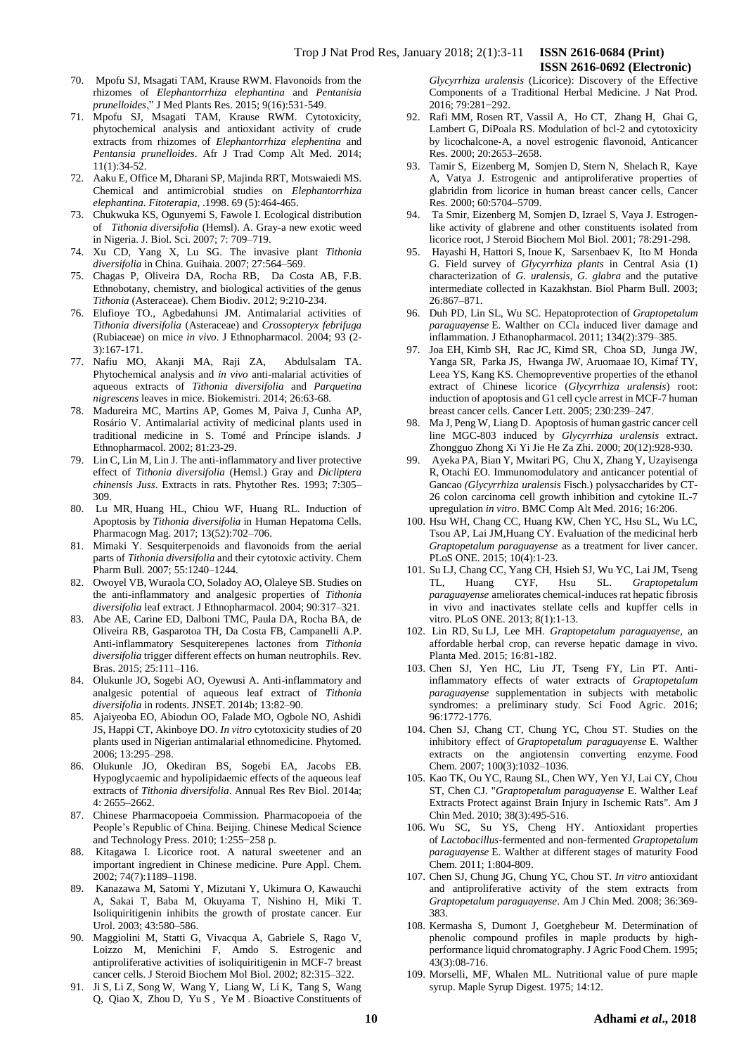- 70. Mpofu SJ, Msagati TAM, Krause RWM. Flavonoids from the rhizomes of *Elephantorrhiza elephantina* and *Pentanisia prunelloides*," J Med Plants Res. 2015; 9(16):531-549.
- 71. Mpofu SJ, Msagati TAM, Krause RWM. Cytotoxicity, phytochemical analysis and antioxidant activity of crude extracts from rhizomes of *Elephantorrhiza elephentina* and *Pentansia prunelloides*. Afr J Trad Comp Alt Med. 2014; 11(1):34-52.
- 72. Aaku E, Office M, Dharani SP, Majinda RRT, Motswaiedi MS. Chemical and antimicrobial studies on *Elephantorrhiza elephantina*. *Fitoterapia*, .1998. 69 (5):464-465.
- 73. Chukwuka KS, Ogunyemi S, Fawole I. Ecological distribution of *Tithonia diversifolia* (Hemsl). A. Gray-a new exotic weed in Nigeria. J. Biol. Sci. 2007; 7: 709–719.
- 74. Xu CD, Yang X, Lu SG. The invasive plant *Tithonia diversifolia* in China. Guihaia. 2007; 27:564–569.
- 75. Chagas P, Oliveira DA, Rocha RB, Da Costa AB, F.B. Ethnobotany, chemistry, and biological activities of the genus *Tithonia* (Asteraceae). Chem Biodiv. 2012; 9:210-234.
- 76. Elufioye TO., Agbedahunsi JM. Antimalarial activities of *Tithonia diversifolia* (Asteraceae) and *Crossopteryx febrifuga* (Rubiaceae) on mice *in vivo*. J Ethnopharmacol. 2004; 93 (2- 3):167-171.
- 77. Nafiu MO, Akanji MA, Raji ZA, Abdulsalam TA. Phytochemical analysis and *in vivo* anti-malarial activities of aqueous extracts of *Tithonia diversifolia* and *Parquetina nigrescens* leaves in mice. Biokemistri. 2014; 26:63-68.
- 78. Madureira MC, Martins AP, Gomes M, Paiva J, Cunha AP, Rosário V. Antimalarial activity of medicinal plants used in traditional medicine in S. Tomé and Príncipe islands. J Ethnopharmacol. 2002; 81:23-29.
- 79. Lin C, Lin M, Lin J. The anti-inflammatory and liver protective effect of *Tithonia diversifolia* (Hemsl.) Gray and *Dicliptera chinensis Juss*. Extracts in rats. Phytother Res. 1993; 7:305– 309.
- 80. Lu MR, Huang HL, Chiou WF, Huang RL. Induction of Apoptosis by *Tithonia diversifolia* in Human Hepatoma Cells. Pharmacogn Mag. 2017; 13(52):702–706.
- 81. Mimaki Y. Sesquiterpenoids and flavonoids from the aerial parts of *Tithonia diversifolia* and their cytotoxic activity. Chem Pharm Bull. 2007; 55:1240–1244.
- 82. Owoyel VB, Wuraola CO, Soladoy AO, Olaleye SB. Studies on the anti-inflammatory and analgesic properties of *Tithonia diversifolia* leaf extract. J Ethnopharmacol. 2004; 90:317–321.
- 83. Abe AE, Carine ED, Dalboni TMC, Paula DA, Rocha BA, de Oliveira RB, Gasparotoa TH, Da Costa FB, Campanelli A.P. Anti-inflammatory Sesquiterepenes lactones from *Tithonia diversifolia* trigger different effects on human neutrophils. Rev. Bras. 2015; 25:111–116.
- 84. Olukunle JO, Sogebi AO, Oyewusi A. Anti-inflammatory and analgesic potential of aqueous leaf extract of *Tithonia diversifolia* in rodents. JNSET. 2014b; 13:82–90.
- 85. Ajaiyeoba EO, Abiodun OO, Falade MO, Ogbole NO, Ashidi JS, Happi CT, Akinboye DO. *In vitro* cytotoxicity studies of 20 plants used in Nigerian antimalarial ethnomedicine. Phytomed. 2006; 13:295–298.
- 86. Olukunle JO, Okediran BS, Sogebi EA, Jacobs EB. Hypoglycaemic and hypolipidaemic effects of the aqueous leaf extracts of *Tithonia diversifolia*. Annual Res Rev Biol. 2014a; 4: 2655–2662.
- 87. Chinese Pharmacopoeia Commission. Pharmacopoeia of the People's Republic of China. Beijing. Chinese Medical Science and Technology Press. 2010; 1:255−258 p.
- 88. Kitagawa I. Licorice root. A natural sweetener and an important ingredient in Chinese medicine. Pure Appl. Chem. 2002; 74(7):1189–1198.
- 89. Kanazawa M, Satomi Y, Mizutani Y, Ukimura O, Kawauchi A, Sakai T, Baba M, Okuyama T, Nishino H, Miki T. Isoliquiritigenin inhibits the growth of prostate cancer. Eur Urol. 2003; 43:580–586.
- 90. Maggiolini M, Statti G, Vivacqua A, Gabriele S, Rago V, Loizzo M, Menichini F, Amdo S. Estrogenic and antiproliferative activities of isoliquiritigenin in MCF-7 breast cancer cells. J Steroid Biochem Mol Biol. 2002; 82:315–322.
- 91. Ji S, Li Z, Song W, Wang Y, Liang W, Li K, Tang S, Wang Q, Qiao X, Zhou D, Yu S , Ye M . Bioactive Constituents of

*Glycyrrhiza uralensis* (Licorice): Discovery of the Effective Components of a Traditional Herbal Medicine. J Nat Prod. 2016; 79:281−292.

 **ISSN 2616-0692 (Electronic)** 

- 92. Rafi MM, Rosen RT, Vassil A, Ho CT, Zhang H, Ghai G, Lambert G, DiPoala RS. Modulation of bcl-2 and cytotoxicity by licochalcone-A, a novel estrogenic flavonoid, Anticancer Res. 2000; 20:2653–2658.
- 93. Tamir S, Eizenberg M, Somjen D, Stern N, Shelach R, Kaye A, Vatya J. Estrogenic and antiproliferative properties of glabridin from licorice in human breast cancer cells, Cancer Res. 2000; 60:5704–5709.
- 94. Ta Smir, Eizenberg M, Somjen D, Izrael S, Vaya J. Estrogenlike activity of glabrene and other constituents isolated from licorice root, J Steroid Biochem Mol Biol. 2001; 78:291-298.
- 95. Hayashi H, Hattori S, Inoue K, Sarsenbaev K, Ito M Honda G. Field survey of *Glycyrrhiza plants* in Central Asia (1) characterization of *G. uralensis*, *G. glabra* and the putative intermediate collected in Kazakhstan. Biol Pharm Bull. 2003; 26:867–871.
- 96. Duh PD, Lin SL, Wu SC. Hepatoprotection of *Graptopetalum paraguayense* E. Walther on CCl<sup>4</sup> induced liver damage and inflammation. J Ethanopharmacol. 2011; 134(2):379–385.
- 97. Joa EH, Kimb SH, Rac JC, Kimd SR, Choa SD, Junga JW, Yanga SR, Parka JS, Hwanga JW, Aruomaae IO, Kimaf TY, Leea YS, Kang KS. Chemopreventive properties of the ethanol extract of Chinese licorice (*Glycyrrhiza uralensis*) root: induction of apoptosis and G1 cell cycle arrest in MCF-7 human breast cancer cells. Cancer Lett. 2005; 230:239–247.
- 98. Ma J, Peng W, Liang D. Apoptosis of human gastric cancer cell line MGC-803 induced by *Glycyrrhiza uralensis* extract. Zhongguo Zhong Xi Yi Jie He Za Zhi. 2000; 20(12):928-930.
- 99. Ayeka PA, Bian Y, Mwitari PG, Chu X, Zhang Y, Uzayisenga R, Otachi EO. Immunomodulatory and anticancer potential of Gancao *(Glycyrrhiza uralensis* Fisch.) polysaccharides by CT-26 colon carcinoma cell growth inhibition and cytokine IL-7 upregulation *in vitro*. BMC Comp Alt Med. 2016; 16:206.
- 100. Hsu WH, Chang CC, Huang KW, Chen YC, Hsu SL, Wu LC, Tsou AP, Lai JM,Huang CY. Evaluation of the medicinal herb *Graptopetalum paraguayense* as a treatment for liver cancer. PLoS ONE. 2015; 10(4):1-23.
- 101. Su LJ, Chang CC, Yang CH, Hsieh SJ, Wu YC, Lai JM, Tseng TL, Huang CYF, Hsu SL. *Graptopetalum paraguayense* ameliorates chemical-induces rat hepatic fibrosis in vivo and inactivates stellate cells and kupffer cells in vitro. PLoS ONE. 2013; 8(1):1-13.
- 102. Lin RD, Su LJ, Lee MH. *Graptopetalum paraguayense*, an affordable herbal crop, can reverse hepatic damage in vivo. Planta Med. 2015; 16:81-182.
- 103. Chen SJ, Yen HC, Liu JT, Tseng FY, Lin PT. Antiinflammatory effects of water extracts of *Graptopetalum paraguayense* supplementation in subjects with metabolic syndromes: a preliminary study. Sci Food Agric. 2016; 96:1772-1776.
- 104. Chen SJ, Chang CT, Chung YC, Chou ST. Studies on the inhibitory effect of *Graptopetalum paraguayense* E. Walther extracts on the angiotensin converting enzyme. Food Chem. 2007; 100(3):1032–1036.
- 105. Kao TK, Ou YC, Raung SL, Chen WY, Yen YJ, Lai CY, Chou ST, Chen CJ. "*Graptopetalum paraguayense* E. Walther Leaf Extracts Protect against Brain Injury in Ischemic Rats". Am J Chin Med. 2010; 38(3):495-516.
- 106. [Wu](http://www.sciencedirect.com/science/article/pii/S030881461100714X#!) SC, [Su](http://www.sciencedirect.com/science/article/pii/S030881461100714X#!) YS, [Cheng](http://www.sciencedirect.com/science/article/pii/S030881461100714X#!) HY. Antioxidant properties of *Lactobacillus*-fermented and non-fermented *Graptopetalum paraguayense* E. Walther at different stages of maturity Food Chem. 2011; 1:804-809.
- 107. Chen SJ, Chung JG, Chung YC, Chou ST. *In vitro* antioxidant and antiproliferative activity of the stem extracts from *Graptopetalum paraguayense*. Am J Chin Med. 2008; 36:369- 383.
- 108. Kermasha S, Dumont J, Goetghebeur M. Determination of phenolic compound profiles in maple products by highperformance liquid chromatography. J Agric Food Chem. 1995; 43(3):08-716.
- 109. Morselli, MF, Whalen ML. Nutritional value of pure maple syrup. Maple Syrup Digest. 1975; 14:12.